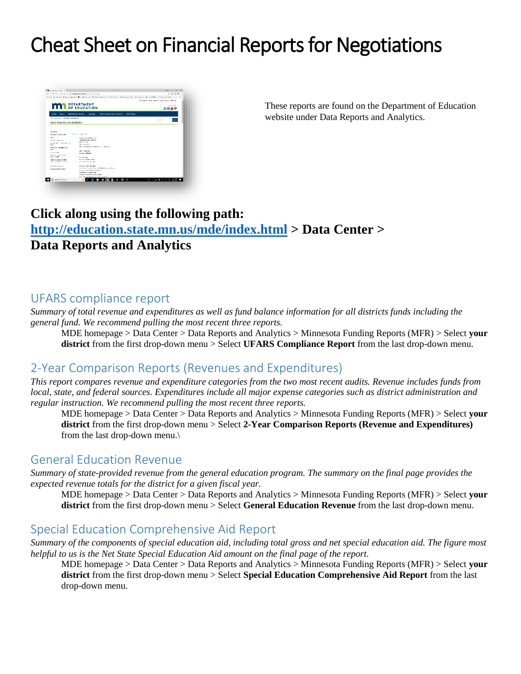# Cheat Sheet on Financial Reports for Negotiations



These reports are found on the Department of Education website under Data Reports and Analytics.

## **Click along using the following path: <http://education.state.mn.us/mde/index.html> > Data Center > Data Reports and Analytics**

### UFARS compliance report

*Summary of total revenue and expenditures as well as fund balance information for all districts funds including the general fund. We recommend pulling the most recent three reports.*

MDE homepage > Data Center > Data Reports and Analytics > Minnesota Funding Reports (MFR) > Select **your district** from the first drop-down menu > Select **UFARS Compliance Report** from the last drop-down menu.

## 2-Year Comparison Reports (Revenues and Expenditures)

*This report compares revenue and expenditure categories from the two most recent audits. Revenue includes funds from local, state, and federal sources. Expenditures include all major expense categories such as district administration and regular instruction. We recommend pulling the most recent three reports.*

MDE homepage > Data Center > Data Reports and Analytics > Minnesota Funding Reports (MFR) > Select **your district** from the first drop-down menu > Select **2-Year Comparison Reports (Revenue and Expenditures)** from the last drop-down menu.\

## General Education Revenue

*Summary of state-provided revenue from the general education program. The summary on the final page provides the expected revenue totals for the district for a given fiscal year.*

MDE homepage > Data Center > Data Reports and Analytics > Minnesota Funding Reports (MFR) > Select **your district** from the first drop-down menu > Select **General Education Revenue** from the last drop-down menu.

## Special Education Comprehensive Aid Report

*Summary of the components of special education aid, including total gross and net special education aid. The figure most helpful to us is the Net State Special Education Aid amount on the final page of the report.*

MDE homepage > Data Center > Data Reports and Analytics > Minnesota Funding Reports (MFR) > Select **your district** from the first drop-down menu > Select **Special Education Comprehensive Aid Report** from the last drop-down menu.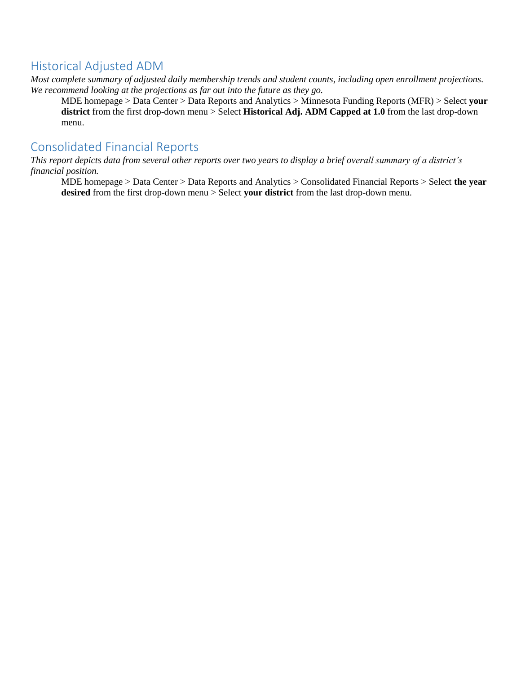## Historical Adjusted ADM

*Most complete summary of adjusted daily membership trends and student counts, including open enrollment projections. We recommend looking at the projections as far out into the future as they go.*

MDE homepage > Data Center > Data Reports and Analytics > Minnesota Funding Reports (MFR) > Select **your district** from the first drop-down menu > Select **Historical Adj. ADM Capped at 1.0** from the last drop-down menu.

## Consolidated Financial Reports

*This report depicts data from several other reports over two years to display a brief overall summary of a district's financial position.*

MDE homepage > Data Center > Data Reports and Analytics > Consolidated Financial Reports > Select **the year desired** from the first drop-down menu > Select **your district** from the last drop-down menu.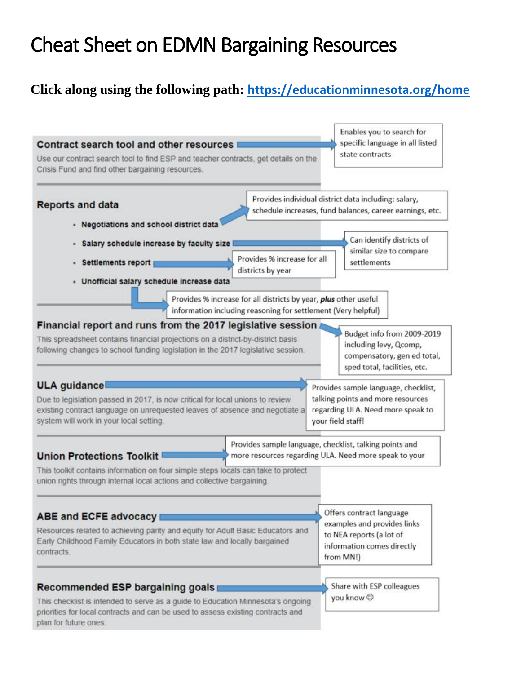# Cheat Sheet on EDMN Bargaining Resources

## **Click along using the following path: <https://educationminnesota.org/home>**